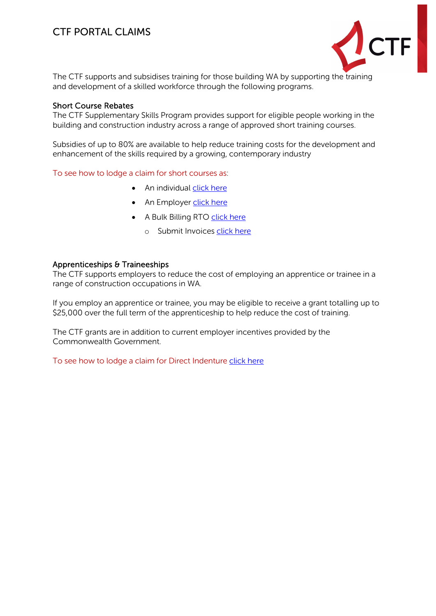# CTF PORTAL CLAIMS



The CTF supports and subsidises training for those building WA by supporting the training and development of a skilled workforce through the following programs.

#### Short Course Rebates

The CTF Supplementary Skills Program provides support for eligible people working in the building and construction industry across a range of approved short training courses.

Subsidies of up to 80% are available to help reduce training costs for the development and enhancement of the skills required by a growing, contemporary industry

To see how to lodge a claim for short courses as:

- An individual [click here](#page-1-0)
- An Employer [click here](#page-2-0)
- A Bulk Billing RTO [click here](#page-2-0)
	- o Submit Invoices [click here](#page-3-0)

#### Apprenticeships & Traineeships

The CTF supports employers to reduce the cost of employing an apprentice or trainee in a range of construction occupations in WA.

If you employ an apprentice or trainee, you may be eligible to receive a grant totalling up to \$25,000 over the full term of the apprenticeship to help reduce the cost of training.

The CTF grants are in addition to current employer incentives provided by the Commonwealth Government.

To see how to lodge a claim for Direct Indenture [click here](#page-4-0)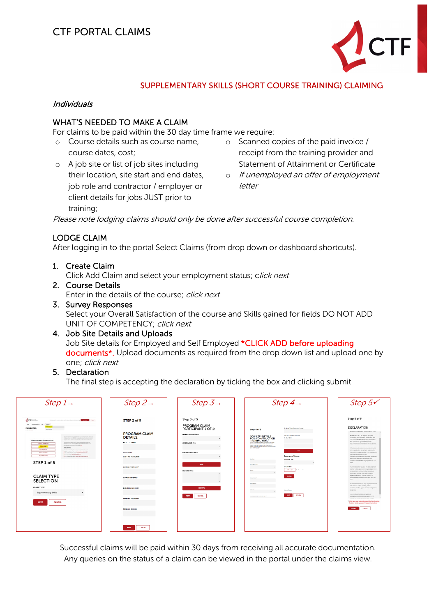

## SUPPLEMENTARY SKILLS (SHORT COURSE TRAINING) CLAIMING

#### <span id="page-1-0"></span>Individuals

## WHAT'S NEEDED TO MAKE A CLAIM

For claims to be paid within the 30 day time frame we require:

- o Course details such as course name, course dates, cost;
- o A job site or list of job sites including their location, site start and end dates, job role and contractor / employer or client details for jobs JUST prior to training;
- o Scanned copies of the paid invoice / receipt from the training provider and Statement of Attainment or Certificate
- o If unemployed an offer of employment letter

Please note lodging claims should only be done after successful course completion.

## LODGE CLAIM

After logging in to the portal Select Claims (from drop down or dashboard shortcuts).

1. Create Claim

Click Add Claim and select your employment status; click next

2. Course Details Enter in the details of the course; click next

#### 3. Survey Responses Select your Overall Satisfaction of the course and Skills gained for fields DO NOT ADD UNIT OF COMPETENCY: click next

#### 4. Job Site Details and Uploads

Job Site details for Employed and Self Employed \*CLICK ADD before uploading documents<sup>\*</sup>. Upload documents as required from the drop down list and upload one by one; click next

### 5. Declaration

The final step is accepting the declaration by ticking the box and clicking submit



Successful claims will be paid within 30 days from receiving all accurate documentation. Any queries on the status of a claim can be viewed in the portal under the claims view.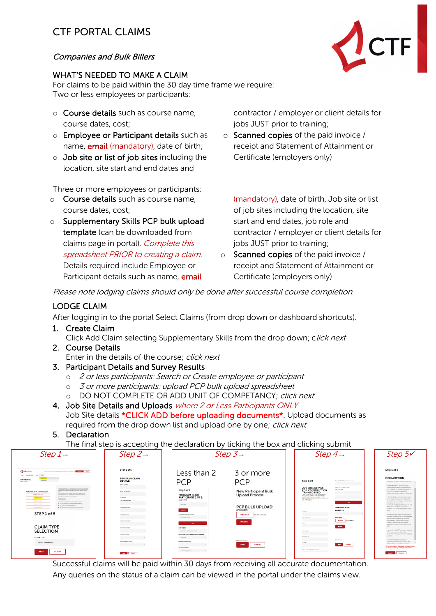# CTF PORTAL CLAIMS

## <span id="page-2-0"></span>Companies and Bulk Billers

## WHAT'S NEEDED TO MAKE A CLAIM

For claims to be paid within the 30 day time frame we require: Two or less employees or participants:

- o Course details such as course name, course dates, cost;
- o Employee or Participant details such as name, **email** (mandatory), date of birth;
- o Job site or list of job sites including the location, site start and end dates and

Three or more employees or participants:

- o Course details such as course name, course dates, cost;
- o Supplementary Skills PCP bulk upload template (can be downloaded from claims page in portal). Complete this spreadsheet PRIOR to creating a claim. Details required include Employee or Participant details such as name, **email**

contractor / employer or client details for jobs JUST prior to training;

o Scanned copies of the paid invoice / receipt and Statement of Attainment or Certificate (employers only)

(mandatory), date of birth, Job site or list of job sites including the location, site start and end dates, job role and contractor / employer or client details for jobs JUST prior to training;

o Scanned copies of the paid invoice / receipt and Statement of Attainment or Certificate (employers only)

Please note lodging claims should only be done after successful course completion.

## LODGE CLAIM

After logging in to the portal Select Claims (from drop down or dashboard shortcuts).

1. Create Claim

Click Add Claim selecting Supplementary Skills from the drop down; click next

- 2. Course Details Enter in the details of the course; click next
- 3. Participant Details and Survey Results
	- o 2 or less participants: Search or Create employee or participant
	- o 3 or more participants: upload PCP bulk upload spreadsheet
	- o DO NOT COMPLETE OR ADD UNIT OF COMPETANCY; click next
- 4. Job Site Details and Uploads where 2 or Less Participants ONLY Job Site details \*CLICK ADD before uploading documents\*. Upload documents as required from the drop down list and upload one by one; click next
- 5. Declaration

The final step is accepting the declaration by ticking the box and clicking submit



Successful claims will be paid within 30 days from receiving all accurate documentation. Any queries on the status of a claim can be viewed in the portal under the claims view.

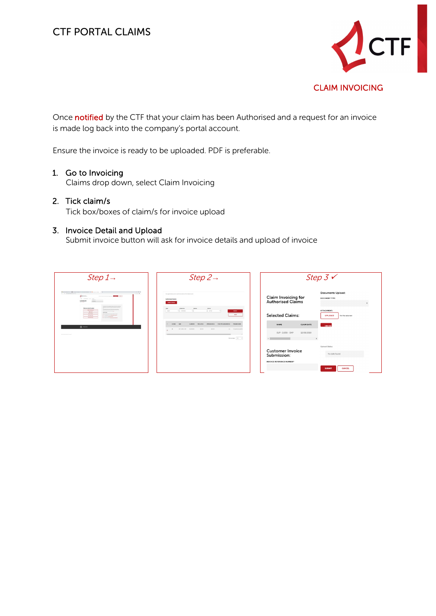

<span id="page-3-0"></span>Once notified by the CTF that your claim has been Authorised and a request for an invoice is made log back into the company's portal account.

Ensure the invoice is ready to be uploaded. PDF is preferable.

## 1. Go to Invoicing

Claims drop down, select Claim Invoicing

#### 2. Tick claim/s

Tick box/boxes of claim/s for invoice upload

#### 3. Invoice Detail and Upload

Submit invoice button will ask for invoice details and upload of invoice

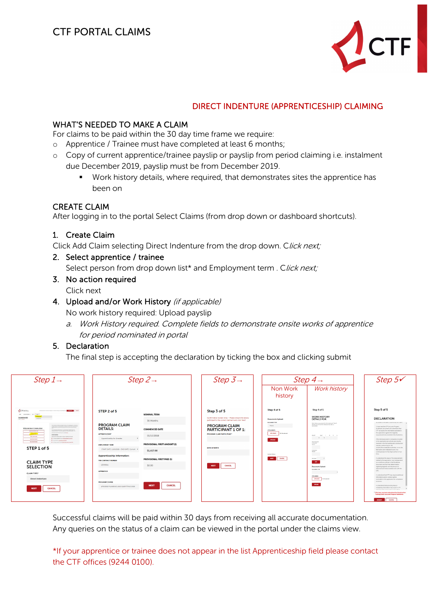

## DIRECT INDENTURE (APPRENTICESHIP) CLAIMING

### <span id="page-4-0"></span>WHAT'S NEEDED TO MAKE A CLAIM

For claims to be paid within the 30 day time frame we require:

- o Apprentice / Trainee must have completed at least 6 months;
- o Copy of current apprentice/trainee payslip or payslip from period claiming i.e. instalment due December 2019, payslip must be from December 2019.
	- Work history details, where required, that demonstrates sites the apprentice has been on

#### CREATE CLAIM

After logging in to the portal Select Claims (from drop down or dashboard shortcuts).

#### 1. Create Claim

Click Add Claim selecting Direct Indenture from the drop down. Click next;

2. Select apprentice / trainee

Select person from drop down list\* and Employment term . Click next;

- 3. No action required Click next
- 4. Upload and/or Work History (if applicable)

No work history required: Upload payslip

a. Work History required. Complete fields to demonstrate onsite works of apprentice for period nominated in portal

#### 5. Declaration

The final step is accepting the declaration by ticking the box and clicking submit

| Step $1 \rightarrow$                                                                                                                                                                                                                                                                                                                                                                                                                                                                                                                                                                                          | Step $2\rightarrow$                                                                                                                                         |                                                                       | Step $3\rightarrow$                                                                                                                              | Step 4 $\rightarrow$                                                                                              |                                                                                                                                                                                                                     | Step $5\checkmark$                                                                                                                                                                                                                                                                                                                                                                                                                                                                                                                                                                                                                                                                                                                           |
|---------------------------------------------------------------------------------------------------------------------------------------------------------------------------------------------------------------------------------------------------------------------------------------------------------------------------------------------------------------------------------------------------------------------------------------------------------------------------------------------------------------------------------------------------------------------------------------------------------------|-------------------------------------------------------------------------------------------------------------------------------------------------------------|-----------------------------------------------------------------------|--------------------------------------------------------------------------------------------------------------------------------------------------|-------------------------------------------------------------------------------------------------------------------|---------------------------------------------------------------------------------------------------------------------------------------------------------------------------------------------------------------------|----------------------------------------------------------------------------------------------------------------------------------------------------------------------------------------------------------------------------------------------------------------------------------------------------------------------------------------------------------------------------------------------------------------------------------------------------------------------------------------------------------------------------------------------------------------------------------------------------------------------------------------------------------------------------------------------------------------------------------------------|
|                                                                                                                                                                                                                                                                                                                                                                                                                                                                                                                                                                                                               |                                                                                                                                                             |                                                                       |                                                                                                                                                  | Non Work<br>history                                                                                               | <b>Work history</b>                                                                                                                                                                                                 |                                                                                                                                                                                                                                                                                                                                                                                                                                                                                                                                                                                                                                                                                                                                              |
| $A$ creassan<br><b>Commercial Commercial</b><br>experienced comparative control<br>and arrestsman and closer.<br><b>DASHBOARD</b>                                                                                                                                                                                                                                                                                                                                                                                                                                                                             | STEP 2 of 5<br><b>NOMINAL TERM</b>                                                                                                                          |                                                                       | Step 3 of 5<br>Confirmation Screen Only - Please ensure the below                                                                                | Step 4 of 5                                                                                                       | Step 4 of 5<br><b>WORK HISTORY</b>                                                                                                                                                                                  | Step 5 of 5<br><b>DECLARATION</b>                                                                                                                                                                                                                                                                                                                                                                                                                                                                                                                                                                                                                                                                                                            |
| <b>KIND STATE</b><br>The Christian American Program and Christian American Christmas<br>Welcome back Construction<br>the communities from the tracket of the relationship by a state company and the state of the first state of the state of the state of the state of the state of the state of the state of the state of the state of the state<br>ODDESIGNATIONS<br><b>FRANK AND THE RESIDENCE</b><br><b>MARINE</b><br><b>Undulfalder</b><br><b>MALEFRON</b><br>The amplitude to a property of the con-<br>The construction of the company of the<br><b>NATIONAL ANGEL</b><br><b>A income potencially</b> | <b>PROGRAM CLAIM</b><br><b>DETAILS:</b><br>APPRENTICESHIP<br>Apprenticeship for Amadea<br>$\mathbf{v}$                                                      | 36 Months<br><b>COMMENCED DATE</b><br>01/10/2018                      | participant is the correct claimant and click 'Next'.<br><b>PROGRAM CLAIM</b><br><b>PARTICIPANT 1 OF 1:</b><br><b>PROGRAM CLAIM PARTICIPANT*</b> | <b>Documents Upload:</b><br>DOCUMENT THRE<br>Paystip<br>ATTACHMENT:<br>UPLOAD<br>No file selected<br><b>UROAD</b> | <b>DETAILS FOR:</b><br>Work Hatory requirement for first instalment Table 6<br>Months only the first installment due defail a<br><b>DEALERS</b><br>Month <sup>e</sup><br>Vert 1 14 S A<br>$\mathbf{v}$ $\mathbf{v}$ | INVESTIGATION OF THE REPORT OF DEMONSTRATION CONTINUES.<br>. I have read the CTF Levy and Program<br>Californies document and understand that<br>CTF will assess the information provided in<br>this application against the eligibility<br>requirements documented in the Quidelines;<br>·The individuals and/or companies included<br>in this application are actively and directly                                                                                                                                                                                                                                                                                                                                                        |
| <b>Warner Blue</b><br>The continues then from the party department of<br>STEP 1 of 5                                                                                                                                                                                                                                                                                                                                                                                                                                                                                                                          | <b>ENPLOYMENT TERM</b><br>START DATE: 1/10/2018 - END DATE: Current T                                                                                       | PROVISIONAL FIRST AMOUNT (\$)<br>\$1,417.00                           | DATE OF BIRTH                                                                                                                                    | Upload Status:                                                                                                    | Mad Frequent<br>Contractor:<br>Northern<br>Contractor                                                                                                                                                               | involved in the WA building and construction<br>industry, performing on-site<br>construction/installation activities: or on-site<br>fabrication and installation work on a<br>continual basis for the major portion of our<br>tree                                                                                                                                                                                                                                                                                                                                                                                                                                                                                                           |
| <b>CLAIM TYPE</b><br><b>SELECTION</b><br><b>CLAIM TYPE*</b><br><b>Direct Indenture</b><br><b>CANCEL</b><br><b>NEXT</b>                                                                                                                                                                                                                                                                                                                                                                                                                                                                                        | Apprenticeship Information:<br><b>TRS CONTRACT NUMBER</b><br>12345641<br><b>APPRENTICE</b><br><b>PROGRAM/COURSE</b><br>AP00050 PLUMBING AND GASFITTING 2018 | PROVISIONAL FIRST PAID (\$)<br>\$0.00<br><b>CANCEL</b><br><b>NEXT</b> | CANCEL<br><b>NEXT</b>                                                                                                                            | <b>HEY CAVES</b>                                                                                                  | Stelland #<br>$\sim$ 400 $^\circ$<br>Documents Upload:<br><b>BOOMBATTING</b><br>armar against.<br>UPLOAD No financial<br>--<br><b>URORD</b>                                                                         | . I understand the value of the disbursement<br>related to this application may be dependent<br>on conditions outlined in the Guidelines<br>document and that final determination<br>regarding eligibility and the amount of<br>disbursement made available rests with the<br>CTD.<br>«I understand that CTF may require additional<br>information and/or contact parties<br>nominated in this application for compliance<br>purposes:<br>«I understand that providing false or<br>misleading information may result in CTF.<br>. When the state of the constitution of the state of the state in the state of<br>Tytes have read and understood the Construction<br>Training Fund's Lovy and Program Guidelines.<br><b>SUBART</b><br>CANCEL |

Successful claims will be paid within 30 days from receiving all accurate documentation. Any queries on the status of a claim can be viewed in the portal under the claims view.

\*If your apprentice or trainee does not appear in the list Apprenticeship field please contact the CTF offices (9244 0100).